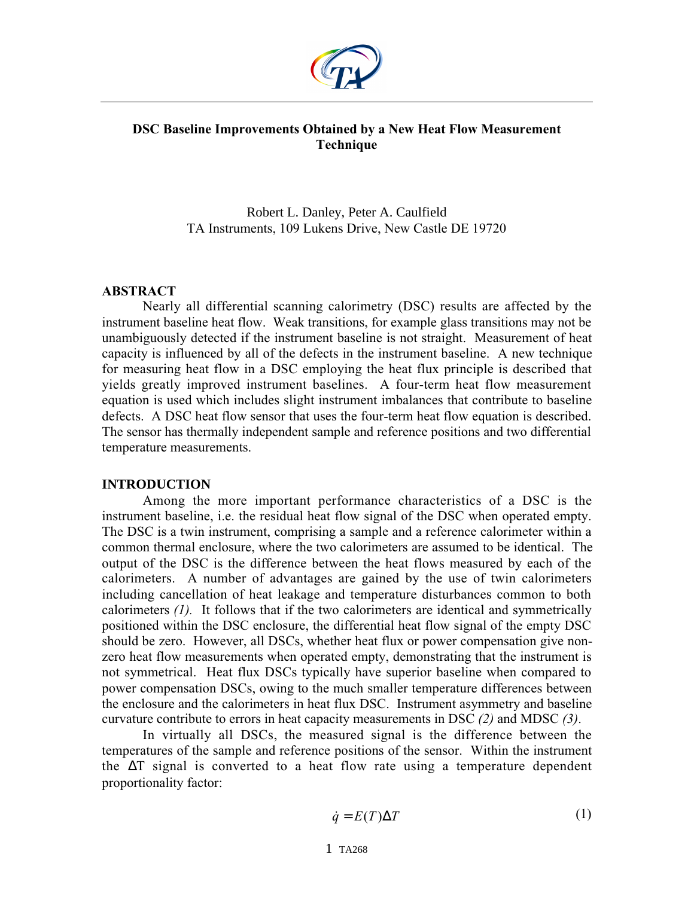

# **DSC Baseline Improvements Obtained by a New Heat Flow Measurement Technique**

Robert L. Danley, Peter A. Caulfield TA Instruments, 109 Lukens Drive, New Castle DE 19720

### **ABSTRACT**

Nearly all differential scanning calorimetry (DSC) results are affected by the instrument baseline heat flow. Weak transitions, for example glass transitions may not be unambiguously detected if the instrument baseline is not straight. Measurement of heat capacity is influenced by all of the defects in the instrument baseline. A new technique for measuring heat flow in a DSC employing the heat flux principle is described that yields greatly improved instrument baselines. A four-term heat flow measurement equation is used which includes slight instrument imbalances that contribute to baseline defects. A DSC heat flow sensor that uses the four-term heat flow equation is described. The sensor has thermally independent sample and reference positions and two differential temperature measurements.

### **INTRODUCTION**

Among the more important performance characteristics of a DSC is the instrument baseline, i.e. the residual heat flow signal of the DSC when operated empty. The DSC is a twin instrument, comprising a sample and a reference calorimeter within a common thermal enclosure, where the two calorimeters are assumed to be identical. The output of the DSC is the difference between the heat flows measured by each of the calorimeters. A number of advantages are gained by the use of twin calorimeters including cancellation of heat leakage and temperature disturbances common to both calorimeters *(1).* It follows that if the two calorimeters are identical and symmetrically positioned within the DSC enclosure, the differential heat flow signal of the empty DSC should be zero. However, all DSCs, whether heat flux or power compensation give nonzero heat flow measurements when operated empty, demonstrating that the instrument is not symmetrical. Heat flux DSCs typically have superior baseline when compared to power compensation DSCs, owing to the much smaller temperature differences between the enclosure and the calorimeters in heat flux DSC. Instrument asymmetry and baseline curvature contribute to errors in heat capacity measurements in DSC *(2)* and MDSC *(3)*.

In virtually all DSCs, the measured signal is the difference between the temperatures of the sample and reference positions of the sensor. Within the instrument the ∆T signal is converted to a heat flow rate using a temperature dependent proportionality factor:

$$
\dot{q} = E(T)\Delta T \tag{1}
$$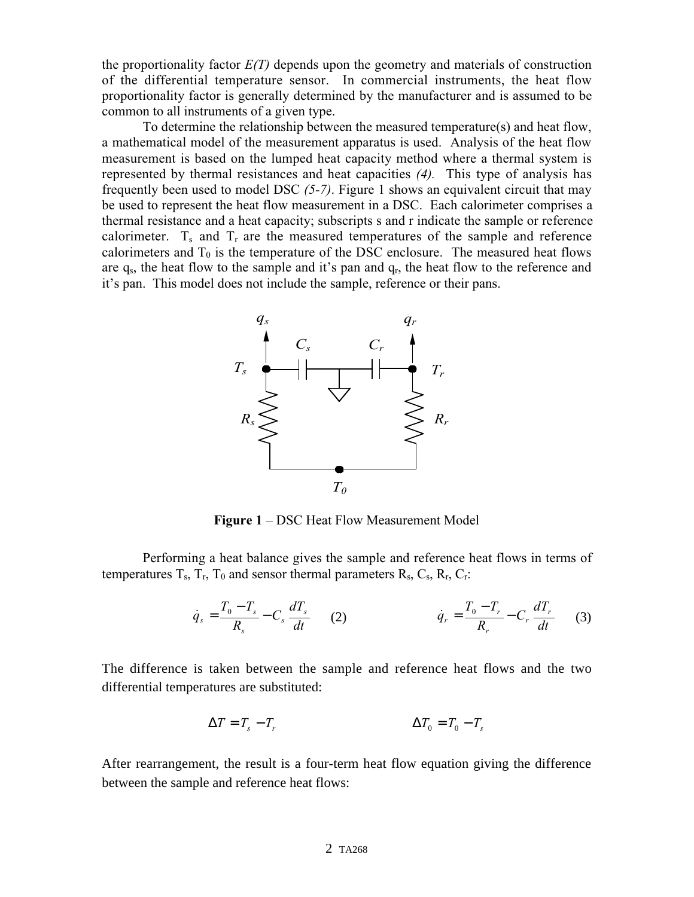the proportionality factor *E(T)* depends upon the geometry and materials of construction of the differential temperature sensor. In commercial instruments, the heat flow proportionality factor is generally determined by the manufacturer and is assumed to be common to all instruments of a given type.

To determine the relationship between the measured temperature(s) and heat flow, a mathematical model of the measurement apparatus is used. Analysis of the heat flow measurement is based on the lumped heat capacity method where a thermal system is represented by thermal resistances and heat capacities *(4).* This type of analysis has frequently been used to model DSC *(5-7)*. Figure 1 shows an equivalent circuit that may be used to represent the heat flow measurement in a DSC. Each calorimeter comprises a thermal resistance and a heat capacity; subscripts s and r indicate the sample or reference calorimeter.  $T_s$  and  $T_r$  are the measured temperatures of the sample and reference calorimeters and  $T_0$  is the temperature of the DSC enclosure. The measured heat flows are  $q_s$ , the heat flow to the sample and it's pan and  $q_r$ , the heat flow to the reference and it's pan. This model does not include the sample, reference or their pans.



**Figure 1** – DSC Heat Flow Measurement Model

Performing a heat balance gives the sample and reference heat flows in terms of temperatures  $T_s$ ,  $T_r$ ,  $T_0$  and sensor thermal parameters  $R_s$ ,  $C_s$ ,  $R_r$ ,  $C_r$ :

$$
\dot{q}_s = \frac{T_0 - T_s}{R_s} - C_s \frac{dT_s}{dt} \qquad (2) \qquad \dot{q}_r = \frac{T_0 - T_r}{R_r} - C_r \frac{dT_r}{dt} \qquad (3)
$$

The difference is taken between the sample and reference heat flows and the two differential temperatures are substituted:

$$
\Delta T = T_s - T_r \qquad \Delta T_0 = T_0 - T_s
$$

After rearrangement, the result is a four-term heat flow equation giving the difference between the sample and reference heat flows: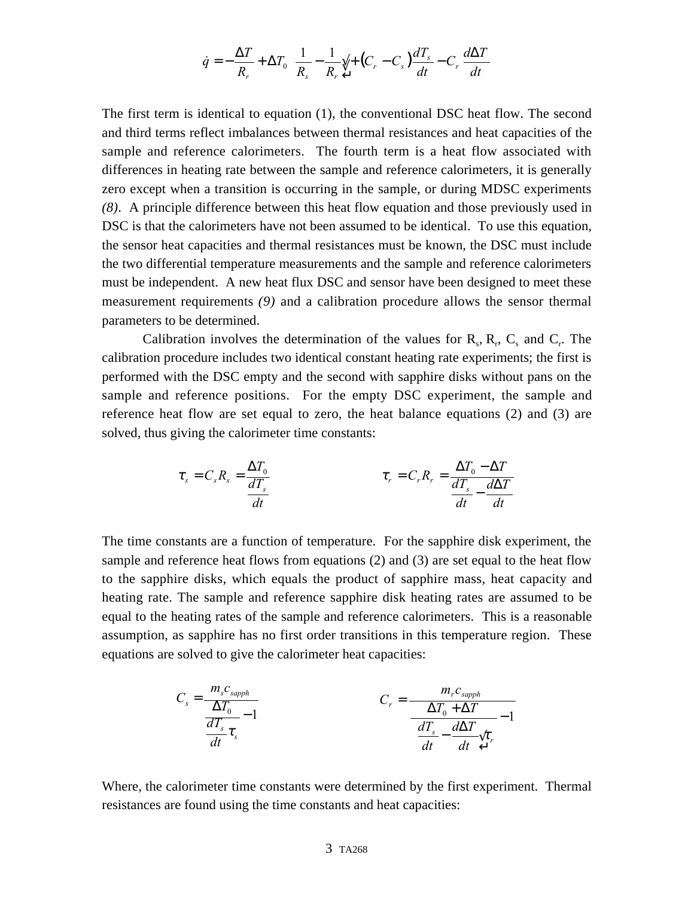$$
\dot{q} = -\frac{\Delta T}{R_r} + \Delta T_0 \frac{-1}{R_s} - \frac{1}{R_r} \sqrt{1 + (C_r - C_s)} \frac{dT_s}{dt} - C_r \frac{d\Delta T}{dt}
$$

The first term is identical to equation (1), the conventional DSC heat flow. The second and third terms reflect imbalances between thermal resistances and heat capacities of the sample and reference calorimeters. The fourth term is a heat flow associated with differences in heating rate between the sample and reference calorimeters, it is generally zero except when a transition is occurring in the sample, or during MDSC experiments *(8)*. A principle difference between this heat flow equation and those previously used in DSC is that the calorimeters have not been assumed to be identical. To use this equation, the sensor heat capacities and thermal resistances must be known, the DSC must include the two differential temperature measurements and the sample and reference calorimeters must be independent. A new heat flux DSC and sensor have been designed to meet these measurement requirements *(9)* and a calibration procedure allows the sensor thermal parameters to be determined.

Calibration involves the determination of the values for  $R_s$ ,  $R_r$ ,  $C_s$  and  $C_r$ . The calibration procedure includes two identical constant heating rate experiments; the first is performed with the DSC empty and the second with sapphire disks without pans on the sample and reference positions. For the empty DSC experiment, the sample and reference heat flow are set equal to zero, the heat balance equations (2) and (3) are solved, thus giving the calorimeter time constants:

$$
\tau_s = C_s R_s = \frac{\Delta T_0}{\frac{dT_s}{dt}} \qquad \tau_r = C_r R_r = \frac{\Delta T_0 - \Delta T}{\frac{dT_s}{dt} - \frac{d\Delta T}{dt}}
$$

The time constants are a function of temperature. For the sapphire disk experiment, the sample and reference heat flows from equations (2) and (3) are set equal to the heat flow to the sapphire disks, which equals the product of sapphire mass, heat capacity and heating rate. The sample and reference sapphire disk heating rates are assumed to be equal to the heating rates of the sample and reference calorimeters. This is a reasonable assumption, as sapphire has no first order transitions in this temperature region. These equations are solved to give the calorimeter heat capacities:

$$
C_s = \frac{m_s c_{\text{sapph}}}{\Delta T_0 - 1}
$$
\n
$$
C_r = \frac{m_r c_{\text{sapph}}}{\Delta T_0 + \Delta T} - 1
$$
\n
$$
\frac{dT_s}{dt} \tau_s
$$
\n
$$
C_r = \frac{m_r c_{\text{sapph}}}{\Delta T_0 + \Delta T} - 1
$$

Where, the calorimeter time constants were determined by the first experiment. Thermal resistances are found using the time constants and heat capacities: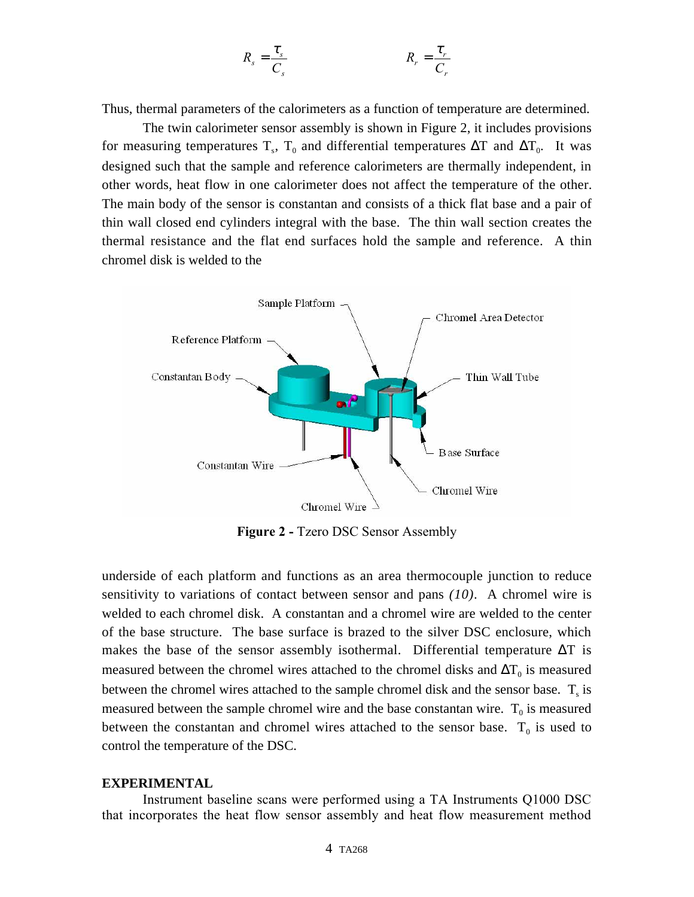$$
R_s = \frac{\tau_s}{C_s} \qquad R_r = \frac{\tau_r}{C_r}
$$

Thus, thermal parameters of the calorimeters as a function of temperature are determined.

The twin calorimeter sensor assembly is shown in Figure 2, it includes provisions for measuring temperatures T<sub>s</sub>, T<sub>0</sub> and differential temperatures  $\Delta T$  and  $\Delta T_0$ . It was designed such that the sample and reference calorimeters are thermally independent, in other words, heat flow in one calorimeter does not affect the temperature of the other. The main body of the sensor is constantan and consists of a thick flat base and a pair of thin wall closed end cylinders integral with the base. The thin wall section creates the thermal resistance and the flat end surfaces hold the sample and reference. A thin chromel disk is welded to the



**Figure 2 -** Tzero DSC Sensor Assembly

underside of each platform and functions as an area thermocouple junction to reduce sensitivity to variations of contact between sensor and pans *(10)*. A chromel wire is welded to each chromel disk. A constantan and a chromel wire are welded to the center of the base structure. The base surface is brazed to the silver DSC enclosure, which makes the base of the sensor assembly isothermal. Differential temperature  $\Delta T$  is measured between the chromel wires attached to the chromel disks and  $\Delta T_0$  is measured between the chromel wires attached to the sample chromel disk and the sensor base.  $T_s$  is measured between the sample chromel wire and the base constantan wire.  $T_0$  is measured between the constantan and chromel wires attached to the sensor base.  $T_0$  is used to control the temperature of the DSC.

#### **EXPERIMENTAL**

Instrument baseline scans were performed using a TA Instruments Q1000 DSC that incorporates the heat flow sensor assembly and heat flow measurement method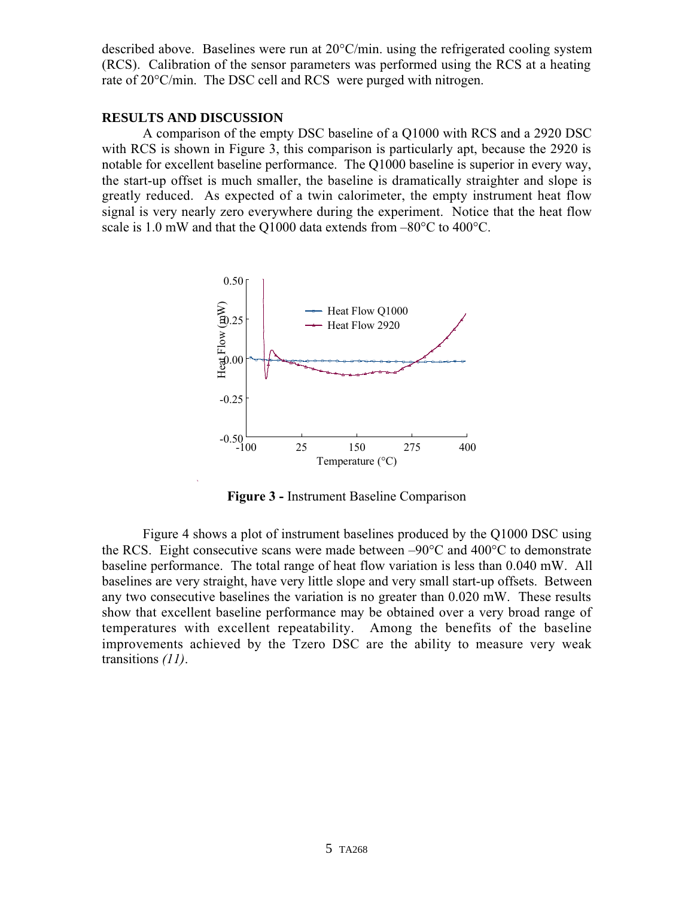described above. Baselines were run at 20°C/min. using the refrigerated cooling system (RCS). Calibration of the sensor parameters was performed using the RCS at a heating rate of 20°C/min. The DSC cell and RCS were purged with nitrogen.

# **RESULTS AND DISCUSSION**

A comparison of the empty DSC baseline of a Q1000 with RCS and a 2920 DSC with RCS is shown in Figure 3, this comparison is particularly apt, because the 2920 is notable for excellent baseline performance. The Q1000 baseline is superior in every way, the start-up offset is much smaller, the baseline is dramatically straighter and slope is greatly reduced. As expected of a twin calorimeter, the empty instrument heat flow signal is very nearly zero everywhere during the experiment. Notice that the heat flow scale is 1.0 mW and that the Q1000 data extends from –80°C to 400°C.



**Figure 3 -** Instrument Baseline Comparison

Figure 4 shows a plot of instrument baselines produced by the Q1000 DSC using the RCS. Eight consecutive scans were made between –90°C and 400°C to demonstrate baseline performance. The total range of heat flow variation is less than 0.040 mW. All baselines are very straight, have very little slope and very small start-up offsets. Between any two consecutive baselines the variation is no greater than 0.020 mW. These results show that excellent baseline performance may be obtained over a very broad range of temperatures with excellent repeatability. Among the benefits of the baseline improvements achieved by the Tzero DSC are the ability to measure very weak transitions *(11)*.